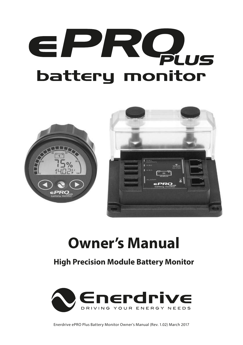# EPROUS **battery monitor**



## **Owner's Manual**

## **High Precision Module Battery Monitor**



Enerdrive ePRO Plus Battery Monitor Owner's Manual (Rev. 1.02) March 2017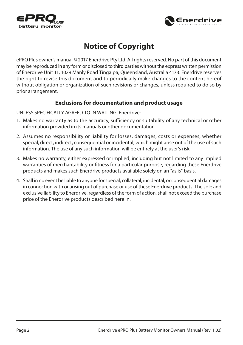



## **Notice of Copyright**

ePRO Plus owner's manual © 2017 Enerdrive Pty Ltd. All rights reserved. No part of this document may be reproduced in any form or disclosed to third parties without the express written permission of Enerdrive Unit 11, 1029 Manly Road Tingalpa, Queensland, Australia 4173. Enerdrive reserves the right to revise this document and to periodically make changes to the content hereof without obligation or organization of such revisions or changes, unless required to do so by prior arrangement.

#### **Exclusions for documentation and product usage**

UNLESS SPECIFICALLY AGREED TO IN WRITING, Enerdrive:

- 1. Makes no warranty as to the accuracy, sufficiency or suitability of any technical or other information provided in its manuals or other documentation
- 2. Assumes no responsibility or liability for losses, damages, costs or expenses, whether special, direct, indirect, consequential or incidental, which might arise out of the use of such information. The use of any such information will be entirely at the user's risk
- 3. Makes no warranty, either expressed or implied, including but not limited to any implied warranties of merchantability or fitness for a particular purpose, regarding these Enerdrive products and makes such Enerdrive products available solely on an "as is" basis.
- 4. Shall in no event be liable to anyone for special, collateral, incidental, or consequential damages in connection with or arising out of purchase or use of these Enerdrive products. The sole and exclusive liability to Enerdrive, regardless of the form of action, shall not exceed the purchase price of the Enerdrive products described here in.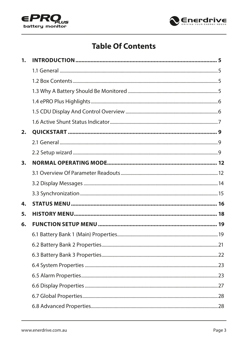



## **Table Of Contents**

| 1. |  |
|----|--|
|    |  |
|    |  |
|    |  |
|    |  |
|    |  |
|    |  |
| 2. |  |
|    |  |
|    |  |
| 3. |  |
|    |  |
|    |  |
|    |  |
| 4. |  |
| 5. |  |
| 6. |  |
|    |  |
|    |  |
|    |  |
|    |  |
|    |  |
|    |  |
|    |  |
|    |  |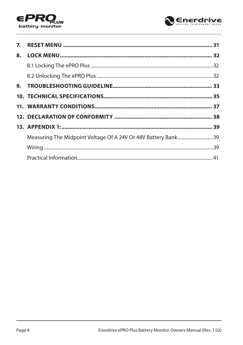



| Measuring The Midpoint Voltage Of A 24V Or 48V Battery Bank39 |  |
|---------------------------------------------------------------|--|
|                                                               |  |
|                                                               |  |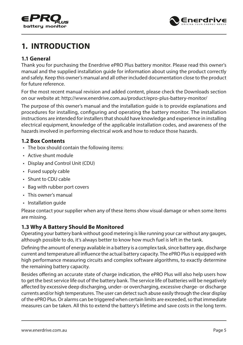<span id="page-4-0"></span>



## **1. INTRODUCTION**

#### **1.1 General**

Thank you for purchasing the Enerdrive ePRO Plus battery monitor. Please read this owner's manual and the supplied installation guide for information about using the product correctly and safely. Keep this owner's manual and all other included documentation close to the product for future reference.

For the most recent manual revision and added content, please check the Downloads section on our website at: http://www.enerdrive.com.au/product/epro-plus-battery-monitor/

The purpose of this owner's manual and the installation guide is to provide explanations and procedures for installing, configuring and operating the battery monitor. The installation instructions are intended for installers that should have knowledge and experience in installing electrical equipment, knowledge of the applicable installation codes, and awareness of the hazards involved in performing electrical work and how to reduce those hazards.

#### **1.2 Box Contents**

- The box should contain the following items:
- Active shunt module
- Display and Control Unit (CDU)
- Fused supply cable
- Shunt to CDU cable
- Bag with rubber port covers
- This owner's manual
- Installation guide

Please contact your supplier when any of these items show visual damage or when some items are missing.

#### **1.3 Why A Battery Should Be Monitored**

Operating your battery bank without good metering is like running your car without any gauges, although possible to do, it's always better to know how much fuel is left in the tank.

Defining the amount of energy available in a battery is a complex task, since battery age, discharge current and temperature all influence the actual battery capacity. The ePRO Plus is equipped with high performance measuring circuits and complex software algorithms, to exactly determine the remaining battery capacity.

Besides offering an accurate state of charge indication, the ePRO Plus will also help users how to get the best service life out of the battery bank. The service life of batteries will be negatively affected by excessive deep discharging, under- or overcharging, excessive charge- or discharge currents and/or high temperatures. The user can detect such abuse easily through the clear display of the ePRO Plus. Or alarms can be triggered when certain limits are exceeded, so that immediate measures can be taken. All this to extend the battery's lifetime and save costs in the long term.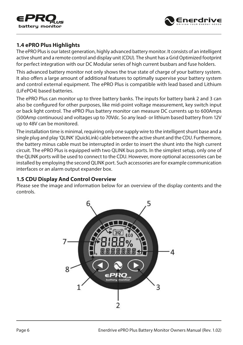<span id="page-5-0"></span>



#### **1.4 ePRO Plus Highlights**

The ePRO Plus is our latest generation, highly advanced battery monitor. It consists of an intelligent active shunt and a remote control and display unit (CDU). The shunt has a Grid Optimized footprint for perfect integration with our DC Modular series of high current busbars and fuse holders.

This advanced battery monitor not only shows the true state of charge of your battery system. It also offers a large amount of additional features to optimally supervise your battery system and control external equipment. The ePRO Plus is compatible with lead based and Lithium (LiFePO4) based batteries.

The ePRO Plus can monitor up to three battery banks. The inputs for battery bank 2 and 3 can also be configured for other purposes, like mid-point voltage measurement, key switch input or back light control. The ePRO Plus battery monitor can measure DC currents up to 600Amps (500Amp continuous) and voltages up to 70Vdc. So any lead- or lithium based battery from 12V up to 48V can be monitored.

The installation time is minimal, requiring only one supply wire to the intelligent shunt base and a single plug and play 'QLINK' (QuickLink) cable between the active shunt and the CDU. Furthermore, the battery minus cable must be interrupted in order to insert the shunt into the high current circuit. The ePRO Plus is equipped with two QLINK bus ports. In the simplest setup, only one of the QLINK ports will be used to connect to the CDU. However, more optional accessories can be installed by employing the second QLINK port. Such accessories are for example communication interfaces or an alarm output expander box.

#### **1.5 CDU Display And Control Overview**

Please see the image and information below for an overview of the display contents and the controls.

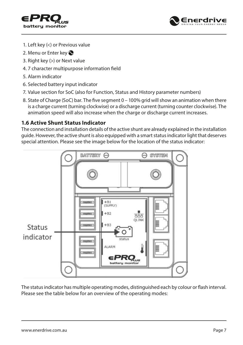<span id="page-6-0"></span>



- 1. Left key (<) or Previous value
- 2. Menu or Enter key
- 3. Right key (>) or Next value
- 4. 7 character multipurpose information field
- 5. Alarm indicator
- 6. Selected battery input indicator
- 7. Value section for SoC (also for Function, Status and History parameter numbers)
- 8. State of Charge (SoC) bar. The five segment 0 100% grid will show an animation when there is a charge current (turning clockwise) or a discharge current (turning counter clockwise). The animation speed will also increase when the charge or discharge current increases.

#### **1.6 Active Shunt Status Indicator**

The connection and installation details of the active shunt are already explained in the installation guide. However, the active shunt is also equipped with a smart status indicator light that deserves special attention. Please see the image below for the location of the status indicator:



The status indicator has multiple operating modes, distinguished each by colour or flash interval. Please see the table below for an overview of the operating modes: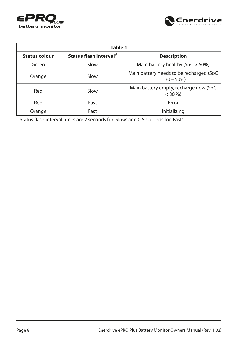



| Table 1              |                                     |                                                           |
|----------------------|-------------------------------------|-----------------------------------------------------------|
| <b>Status colour</b> | Status flash interval <sup>1'</sup> | <b>Description</b>                                        |
| Green                | Slow                                | Main battery healthy (SoC $>$ 50%)                        |
| Orange               | Slow                                | Main battery needs to be recharged (SoC)<br>$= 30 - 50\%$ |
| Red                  | Slow                                | Main battery empty, recharge now (SoC)<br>$<$ 30 %)       |
| Red                  | Fast                                | Error                                                     |
| Orange               | Fast                                | Initializing                                              |

<sup>1)</sup> Status flash interval times are 2 seconds for 'Slow' and 0.5 seconds for 'Fast'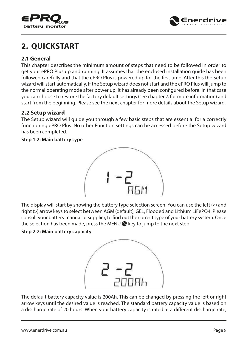<span id="page-8-0"></span>



## **2. QUICKSTART**

#### **2.1 General**

This chapter describes the minimum amount of steps that need to be followed in order to get your ePRO Plus up and running. It assumes that the enclosed installation guide has been followed carefully and that the ePRO Plus is powered up for the first time. After this the Setup wizard will start automatically. If the Setup wizard does not start and the ePRO Plus will jump to the normal operating mode after power up, it has already been configured before. In that case you can choose to restore the factory default settings (see chapter 7, for more information) and start from the beginning. Please see the next chapter for more details about the Setup wizard.

#### **2.2 Setup wizard**

The Setup wizard will guide you through a few basic steps that are essential for a correctly functioning ePRO Plus. No other Function settings can be accessed before the Setup wizard has been completed.

#### **Step 1-2: Main battery type**



The display will start by showing the battery type selection screen. You can use the left (<) and right (>) arrow keys to select between AGM (default), GEL, Flooded and Lithium LiFePO4. Please consult your battery manual or supplier, to find out the correct type of your battery system. Once the selection has been made, press the MENU  $\bullet$  key to jump to the next step.

#### **Step 2-2: Main battery capacity**



The default battery capacity value is 200Ah. This can be changed by pressing the left or right arrow keys until the desired value is reached. The standard battery capacity value is based on a discharge rate of 20 hours. When your battery capacity is rated at a different discharge rate,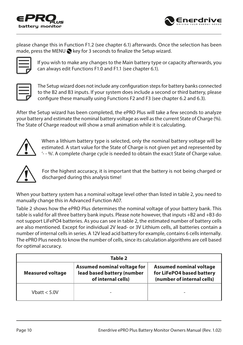



please change this in Function F1.2 (see chapter 6.1) afterwards. Once the selection has been made, press the MENU  $\bigcirc$  key for 3 seconds to finalize the Setup wizard.



If you wish to make any changes to the Main battery type or capacity afterwards, you can always edit Functions F1.0 and F1.1 (see chapter 6.1).

The Setup wizard does not include any configuration steps for battery banks connected to the B2 and B3 inputs. If your system does include a second or third battery, please configure these manually using Functions F2 and F3 (see chapter 6.2 and 6.3).

After the Setup wizard has been completed, the ePRO Plus will take a few seconds to analyze your battery and estimate the nominal battery voltage as well as the current State of Charge (%). The State of Charge readout will show a small animation while it is calculating.



When a lithium battery type is selected, only the nominal battery voltage will be estimated. A start value for the State of Charge is not given yet and represented by '- - %'. A complete charge cycle is needed to obtain the exact State of Charge value.



For the highest accuracy, it is important that the battery is not being charged or discharged during this analysis time!

When your battery system has a nominal voltage level other than listed in table 2, you need to manually change this in Advanced Function A07.

Table 2 shows how the ePRO Plus determines the nominal voltage of your battery bank. This table is valid for all three battery bank inputs. Please note however, that inputs +B2 and +B3 do not support LiFePO4 batteries. As you can see in table 2, the estimated number of battery cells are also mentioned. Except for individual 2V lead- or 3V Lithium cells, all batteries contain a number of internal cells in series. A 12V lead acid battery for example, contains 6 cells internally. The ePRO Plus needs to know the number of cells, since its calculation algorithms are cell based for optimal accuracy.

| Table 2                                                                                                    |  |                                                                                           |
|------------------------------------------------------------------------------------------------------------|--|-------------------------------------------------------------------------------------------|
| Assumed nominal voltage for<br>lead based battery (number<br><b>Measured voltage</b><br>of internal cells) |  | <b>Assumed nominal voltage</b><br>for LiFePO4 based battery<br>(number of internal cells) |
| Vhatt $<$ 5.0V                                                                                             |  |                                                                                           |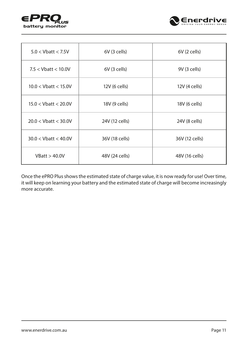



| $5.0 <$ Vbatt $<$ 7.5V    | $6V$ (3 cells) | $6V$ (2 cells) |
|---------------------------|----------------|----------------|
| $7.5 <$ Vbatt $< 10.0$ V  | $6V$ (3 cells) | 9V (3 cells)   |
| $10.0 < V$ batt < 15.0V   | 12V (6 cells)  | 12V (4 cells)  |
| $15.0 <$ Vbatt $<$ 20.0V  | 18V (9 cells)  | 18V (6 cells)  |
| $20.0 < V$ batt $< 30.0V$ | 24V (12 cells) | 24V (8 cells)  |
| $30.0 < V$ batt < 40.0V   | 36V (18 cells) | 36V (12 cells) |
| VBatt > 40.0V             | 48V (24 cells) | 48V (16 cells) |

Once the ePRO Plus shows the estimated state of charge value, it is now ready for use! Over time, it will keep on learning your battery and the estimated state of charge will become increasingly more accurate.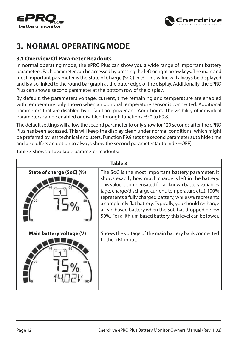<span id="page-11-0"></span>



## **3. NORMAL OPERATING MODE**

#### **3.1 Overview Of Parameter Readouts**

In normal operating mode, the ePRO Plus can show you a wide range of important battery parameters. Each parameter can be accessed by pressing the left or right arrow keys. The main and most important parameter is the State of Charge (SoC) in %. This value will always be displayed and is also linked to the round bar graph at the outer edge of the display. Additionally, the ePRO Plus can show a second parameter at the bottom row of the display.

By default, the parameters voltage, current, time remaining and temperature are enabled with temperature only shown when an optional temperature sensor is connected. Additional parameters that are disabled by default are power and Amp-hours. The visibility of individual parameters can be enabled or disabled through functions F9.0 to F9.8.

The default settings will allow the second parameter to only show for 120 seconds after the ePRO Plus has been accessed. This will keep the display clean under normal conditions, which might be preferred by less technical end users. Function F9.9 sets the second parameter auto hide time and also offers an option to always show the second parameter (auto hide =OFF).

Table 3 shows all available parameter readouts:

| Table 3                   |                                                                                                                                                                                                                                                                                                                                                                                                                                                                                   |  |
|---------------------------|-----------------------------------------------------------------------------------------------------------------------------------------------------------------------------------------------------------------------------------------------------------------------------------------------------------------------------------------------------------------------------------------------------------------------------------------------------------------------------------|--|
| State of charge (SoC) (%) | The SoC is the most important battery parameter. It<br>shows exactly how much charge is left in the battery.<br>This value is compensated for all known battery variables<br>(age, charge/discharge current, temperature etc.). 100%<br>represents a fully charged battery, while 0% represents<br>a completely flat battery. Typically, you should recharge<br>a lead based battery when the SoC has dropped below<br>50%. For a lithium based battery, this level can be lower. |  |
| Main battery voltage (V)  | Shows the voltage of the main battery bank connected<br>to the $+B1$ input.                                                                                                                                                                                                                                                                                                                                                                                                       |  |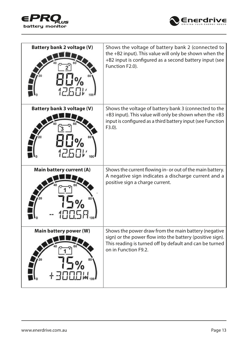



| <b>Battery bank 2 voltage (V)</b> | Shows the voltage of battery bank 2 (connected to<br>the +B2 input). This value will only be shown when the<br>+B2 input is configured as a second battery input (see<br>Function F2.0).             |
|-----------------------------------|------------------------------------------------------------------------------------------------------------------------------------------------------------------------------------------------------|
| <b>Battery bank 3 voltage (V)</b> | Shows the voltage of battery bank 3 (connected to the<br>+B3 input). This value will only be shown when the +B3<br>input is configured as a third battery input (see Function<br>$F3.0$ ).           |
| Main battery current (A)          | Shows the current flowing in- or out of the main battery.<br>A negative sign indicates a discharge current and a<br>positive sign a charge current.                                                  |
| Main battery power (W)            | Shows the power draw from the main battery (negative<br>sign) or the power flow into the battery (positive sign).<br>This reading is turned off by default and can be turned<br>on in Function F9.2. |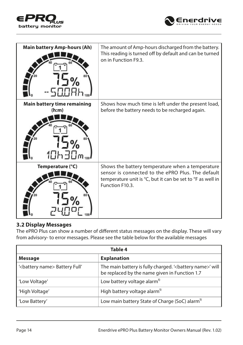<span id="page-13-0"></span>



| <b>Main battery Amp-hours (Ah)</b>                                     | The amount of Amp-hours discharged from the battery.<br>This reading is turned off by default and can be turned<br>on in Function F9.3.                                                |
|------------------------------------------------------------------------|----------------------------------------------------------------------------------------------------------------------------------------------------------------------------------------|
| <b>Main battery time remaining</b><br>(h:m)<br>$1$ $1$ $1$ $1$ $1$ $-$ | Shows how much time is left under the present load,<br>before the battery needs to be recharged again.                                                                                 |
| Temperature (°C)                                                       | Shows the battery temperature when a temperature<br>sensor is connected to the ePRO Plus. The default<br>temperature unit is °C, but it can be set to °F as well in<br>Function F10.3. |

#### **3.2 Display Messages**

The ePRO Plus can show a number of different status messages on the display. These will vary from advisory- to error messages. Please see the table below for the available messages

| Table 4                                     |                                                                                                            |  |
|---------------------------------------------|------------------------------------------------------------------------------------------------------------|--|
| <b>Message</b>                              | <b>Explanation</b>                                                                                         |  |
| ' <battery name=""> Battery Full'</battery> | The main battery is fully charged. '< battery name>' will<br>be replaced by the name given in Function 1.7 |  |
| 'Low Voltage'                               | Low battery voltage alarm <sup>1)</sup>                                                                    |  |
| 'High Voltage'                              | High battery voltage alarm <sup>1)</sup>                                                                   |  |
| 'Low Battery'                               | Low main battery State of Charge (SoC) alarm <sup>11</sup>                                                 |  |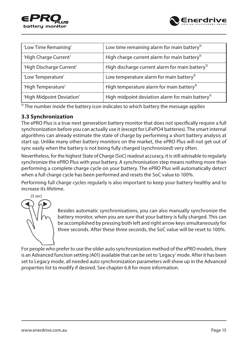

<span id="page-14-0"></span>

| 'Low Time Remaining'      | Low time remaining alarm for main battery <sup>1)</sup>      |
|---------------------------|--------------------------------------------------------------|
| 'High Charge Current'     | High charge current alarm for main battery <sup>1)</sup>     |
| 'High Discharge Current'  | High discharge current alarm for main battery <sup>1)</sup>  |
| 'Low Temperature'         | Low temperature alarm for main battery <sup>1)</sup>         |
| 'High Temperature'        | High temperature alarm for main battery <sup>1)</sup>        |
| 'High Midpoint Deviation' | High midpoint deviation alarm for main battery <sup>1)</sup> |

 $\overline{1}$ <sup>1</sup> The number inside the battery icon indicates to which battery the message applies

#### **3.3 Synchronization**

The ePRO Plus is a true next generation battery monitor that does not specifically require a full synchronization before you can actually use it (except for LiFePO4 batteries). The smart internal algorithms can already estimate the state of charge by performing a short battery analysis at start up. Unlike many other battery monitors on the market, the ePRO Plus will not get out of sync easily when the battery is not being fully charged (synchronized) very often.

Nevertheless, for the highest State of Charge (SoC) readout accuracy, it is still advisable to regularly synchronize the ePRO Plus with your battery. A synchronisation step means nothing more than performing a complete charge cycle on your battery. The ePRO Plus will automatically detect when a full charge cycle has been performed and resets the SoC value to 100%.

Performing full charge cycles regularly is also important to keep your battery healthy and to increase its lifetime.



Besides automatic synchronisations, you can also manually synchronize the battery monitor, when you are sure that your battery is fully charged. This can be accomplished by pressing both left and right arrow keys simultaneously for three seconds. After these three seconds, the SoC value will be reset to 100%.

For people who prefer to use the older auto synchronization method of the ePRO models, there is an Advanced function setting (A01) available that can be set to 'Legacy' mode. After it has been set to Legacy mode, all needed auto synchronization parameters will show up in the Advanced properties list to modify if desired. See chapter 6.8 for more information.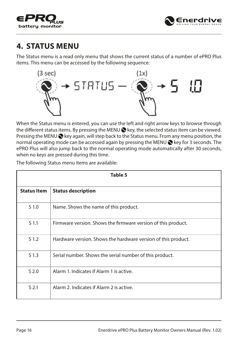<span id="page-15-0"></span>



## **4. STATUS MENU**

The Status menu is a read only menu that shows the current status of a number of ePRO Plus items. This menu can be accessed by the following sequence:



When the Status menu is entered, you can use the left and right arrow keys to browse through the different status items. By pressing the MENU  $\bigcirc$  key, the selected status item can be viewed. Pressing the MENU  $\odot$  key again, will step back to the Status menu. From any menu position, the normal operating mode can be accessed again by pressing the MENU we key for 3 seconds. The ePRO Plus will also jump back to the normal operating mode automatically after 30 seconds, when no keys are pressed during this time.

The following Status menu items are available:

| Table 5            |                                                               |  |
|--------------------|---------------------------------------------------------------|--|
| <b>Status Item</b> | <b>Status description</b>                                     |  |
| S <sub>1.0</sub>   | Name. Shows the name of this product.                         |  |
| S <sub>1.1</sub>   | Firmware version. Shows the firmware version of this product. |  |
| S <sub>1.2</sub>   | Hardware version. Shows the hardware version of this product. |  |
| S <sub>1.3</sub>   | Serial number. Shows the serial number of this product.       |  |
| $S$ 2.0            | Alarm 1. Indicates if Alarm 1 is active.                      |  |
| S <sub>2.1</sub>   | Alarm 2. Indicates if Alarm 2 is active.                      |  |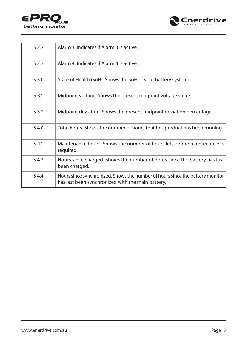



| $S$ 2.2          | Alarm 3. Indicates if Alarm 3 is active.                                                                                           |
|------------------|------------------------------------------------------------------------------------------------------------------------------------|
| S <sub>2.3</sub> | Alarm 4. Indicates if Alarm 4 is active.                                                                                           |
| $S$ 3.0          | State of Health (SoH). Shows the SoH of your battery system.                                                                       |
| S <sub>3.1</sub> | Midpoint voltage. Shows the present midpoint voltage value.                                                                        |
| $S$ 3.2          | Midpoint deviation. Shows the present midpoint deviation percentage                                                                |
| $S$ 4.0          | Total hours. Shows the number of hours that this product has been running.                                                         |
| $S$ 4.1          | Maintenance hours. Shows the number of hours left before maintenance is<br>required.                                               |
| $S$ 4.3          | Hours since charged. Shows the number of hours since the battery has last<br>been charged.                                         |
| S 4.4            | Hours since synchronized. Shows the number of hours since the battery monitor<br>has last been synchronized with the main battery. |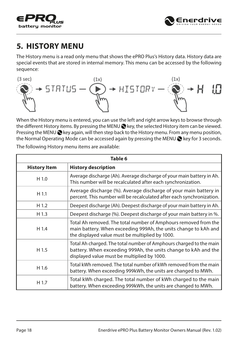<span id="page-17-0"></span>



## **5. HISTORY MENU**

The History menu is a read only menu that shows the ePRO Plus's History data. History data are special events that are stored in internal memory. This menu can be accessed by the following sequence:



When the History menu is entered, you can use the left and right arrow keys to browse through the different History items. By pressing the MENU  $\bigcirc$  key, the selected History item can be viewed. Pressing the MENU  $\bigcirc$  key again, will then step back to the History menu. From any menu position, the Normal Operating Mode can be accessed again by pressing the MENU  $\bigotimes$  key for 3 seconds.

| Table 6             |                                                                                                                                                                                       |  |
|---------------------|---------------------------------------------------------------------------------------------------------------------------------------------------------------------------------------|--|
| <b>History Item</b> | <b>History description</b>                                                                                                                                                            |  |
| H <sub>1.0</sub>    | Average discharge (Ah). Average discharge of your main battery in Ah.<br>This number will be recalculated after each synchronization.                                                 |  |
| $H$ 1.1             | Average discharge (%). Average discharge of your main battery in<br>percent. This number will be recalculated after each synchronization.                                             |  |
| H <sub>1.2</sub>    | Deepest discharge (Ah). Deepest discharge of your main battery in Ah.                                                                                                                 |  |
| H 1.3               | Deepest discharge (%). Deepest discharge of your main battery in %.                                                                                                                   |  |
| H 1.4               | Total Ah removed. The total number of Amphours removed from the<br>main battery. When exceeding 999Ah, the units change to kAh and<br>the displayed value must be multiplied by 1000. |  |
| H 1.5               | Total Ah charged. The total number of Amphours charged to the main<br>battery. When exceeding 999Ah, the units change to kAh and the<br>displayed value must be multiplied by 1000.   |  |
| H 1.6               | Total kWh removed. The total number of kWh removed from the main<br>battery. When exceeding 999kWh, the units are changed to MWh.                                                     |  |
| H 1.7               | Total kWh charged. The total number of kWh charged to the main<br>battery. When exceeding 999kWh, the units are changed to MWh.                                                       |  |

The following History menu items are available: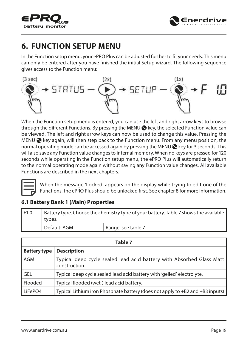<span id="page-18-0"></span>



## **6. FUNCTION SETUP MENU**

In the Function setup menu, your ePRO Plus can be adjusted further to fit your needs. This menu can only be entered after you have finished the initial Setup wizard. The following sequence gives access to the Function menu:



When the Function setup menu is entered, you can use the left and right arrow keys to browse through the different Functions. By pressing the MENU  $\bullet$  key, the selected Function value can be viewed. The left and right arrow keys can now be used to change this value. Pressing the MENU  $\odot$  key again, will then step back to the Function menu. From any menu position, the normal operating mode can be accessed again by pressing the MENU  $\otimes$  key for 3 seconds. This will also save any Function value changes to internal memory. When no keys are pressed for 120 seconds while operating in the Function setup menu, the ePRO Plus will automatically return to the normal operating mode again without saving any Function value changes. All available Functions are described in the next chapters.



When the message 'Locked' appears on the display while trying to edit one of the Functions, the ePRO Plus should be unlocked first. See chapter 8 for more information.

#### **6.1 Battery Bank 1 (Main) Properties**

| F1.0 | Battery type. Choose the chemistry type of your battery. Table 7 shows the available<br>types. |                    |  |
|------|------------------------------------------------------------------------------------------------|--------------------|--|
|      | Default: AGM                                                                                   | Range: see table 7 |  |

|                     | Table 7                                                                               |
|---------------------|---------------------------------------------------------------------------------------|
| <b>Battery type</b> | <b>Description</b>                                                                    |
| l AGM               | Typical deep cycle sealed lead acid battery with Absorbed Glass Matt<br>construction. |
| l GEL               | Typical deep cycle sealed lead acid battery with 'gelled' electrolyte.                |
| l Flooded           | Typical flooded (wet-) lead acid battery.                                             |
| LiFePO4             | Typical Lithium iron Phosphate battery (does not apply to +B2 and +B3 inputs)         |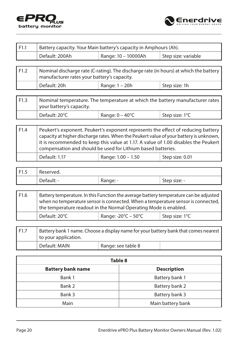



| F1.1 | Battery capacity. Your Main battery's capacity in Amphours (Ah).                                                                                                                                                                                                                                                                 |                          |                     |
|------|----------------------------------------------------------------------------------------------------------------------------------------------------------------------------------------------------------------------------------------------------------------------------------------------------------------------------------|--------------------------|---------------------|
|      | Default: 200Ah                                                                                                                                                                                                                                                                                                                   | Range: 10 - 10000Ah      | Step size: variable |
|      |                                                                                                                                                                                                                                                                                                                                  |                          |                     |
| F1.2 | Nominal discharge rate (C-rating). The discharge rate (in hours) at which the battery<br>manufacturer rates your battery's capacity.                                                                                                                                                                                             |                          |                     |
|      | Default: 20h                                                                                                                                                                                                                                                                                                                     | Range: 1 – 20h           | Step size: 1h       |
|      |                                                                                                                                                                                                                                                                                                                                  |                          |                     |
| F1.3 | Nominal temperature. The temperature at which the battery manufacturer rates<br>your battery's capacity.                                                                                                                                                                                                                         |                          |                     |
|      | Default: 20°C                                                                                                                                                                                                                                                                                                                    | Range: $0 - 40^{\circ}C$ | Step size: 1°C      |
|      |                                                                                                                                                                                                                                                                                                                                  |                          |                     |
| F1.4 | Peukert's exponent. Peukert's exponent represents the effect of reducing battery<br>capacity at higher discharge rates. When the Peukert value of your battery is unknown,<br>it is recommended to keep this value at 1.17. A value of 1.00 disables the Peukert<br>compensation and should be used for Lithium based batteries. |                          |                     |
|      | Default: 1.17                                                                                                                                                                                                                                                                                                                    | Range: 1.00 - 1.50       | Step size: 0.01     |
|      |                                                                                                                                                                                                                                                                                                                                  |                          |                     |
|      |                                                                                                                                                                                                                                                                                                                                  |                          |                     |

| F1.5 | Reserved.                |            |                |
|------|--------------------------|------------|----------------|
|      | $\overline{\phantom{0}}$ | - ange: -. | - step size: - |

| F1.6 | Battery temperature. In this Function the average battery temperature can be adjusted<br>when no temperature sensor is connected. When a temperature sensor is connected,  <br>the temperature readout in the Normal Operating Mode is enabled. |                                          |                |
|------|-------------------------------------------------------------------------------------------------------------------------------------------------------------------------------------------------------------------------------------------------|------------------------------------------|----------------|
|      | Default: 20°C                                                                                                                                                                                                                                   | Range: $-20^{\circ}$ C – 50 $^{\circ}$ C | Step size: 1°C |

| F1.7 | Battery bank 1 name. Choose a display name for your battery bank that comes nearest  <br>to your application. |                    |  |
|------|---------------------------------------------------------------------------------------------------------------|--------------------|--|
|      | Default: MAIN                                                                                                 | Range: see table 8 |  |

| Table 8                  |                    |  |
|--------------------------|--------------------|--|
| <b>Battery bank name</b> | <b>Description</b> |  |
| Bank 1                   | Battery bank 1     |  |
| Bank 2                   | Battery bank 2     |  |
| Bank 3                   | Battery bank 3     |  |
| Main                     | Main battery bank  |  |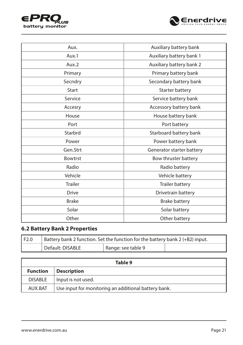<span id="page-20-0"></span>



| Aux.           | Auxiliary battery bank    |
|----------------|---------------------------|
| Aux.1          | Auxiliary battery bank 1  |
| Aux.2          | Auxiliary battery bank 2  |
| Primary        | Primary battery bank      |
| Secndry        | Secondary battery bank    |
| <b>Start</b>   | Starter battery           |
| Service        | Service battery bank      |
| Accesry        | Accessory battery bank    |
| House          | House battery bank        |
| Port           | Port battery              |
| Starbrd        | Starboard battery bank    |
| Power          | Power battery bank        |
| Gen.Strt       | Generator starter battery |
| Bowtrst        | Bow thruster battery      |
| Radio          | Radio battery             |
| Vehicle        | Vehicle battery           |
| <b>Trailer</b> | Trailer battery           |
| <b>Drive</b>   | Drivetrain battery        |
| <b>Brake</b>   | <b>Brake battery</b>      |
| Solar          | Solar battery             |
| Other          | Other battery             |

#### **6.2 Battery Bank 2 Properties**

| F2.0 | Battery bank 2 function. Set the function for the battery bank 2 $(+B2)$ input. |                    |  |
|------|---------------------------------------------------------------------------------|--------------------|--|
|      | Default: DISABLE                                                                | Range: see table 9 |  |

| Table 9         |                                                      |  |
|-----------------|------------------------------------------------------|--|
| <b>Function</b> | <b>Description</b>                                   |  |
| <b>DISABLE</b>  | Input is not used.                                   |  |
| AUX.BAT         | Use input for monitoring an additional battery bank. |  |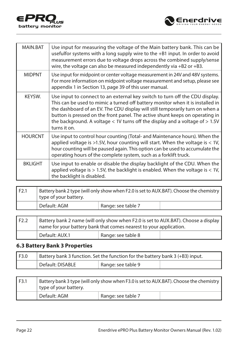<span id="page-21-0"></span>



| MAIN.BAT       | Use input for measuring the voltage of the Main battery bank. This can be<br>usefulfor systems with a long supply wire to the +B1 input. In order to avoid<br>measurement errors due to voltage drops across the combined supply/sense<br>wire, the voltage can also be measured independently via $+B2$ or $+B3$ .                                                                                                                |
|----------------|------------------------------------------------------------------------------------------------------------------------------------------------------------------------------------------------------------------------------------------------------------------------------------------------------------------------------------------------------------------------------------------------------------------------------------|
| <b>MIDPNT</b>  | Use input for midpoint or center voltage measurement in 24V and 48V systems.<br>For more information on midpoint voltage measurement and setup, please see<br>appendix 1 in Section 13, page 39 of this user manual.                                                                                                                                                                                                               |
| KEYSW.         | Use input to connect to an external key switch to turn off the CDU display.<br>This can be used to mimic a turned off battery monitor when it is installed in<br>the dashboard of an EV. The CDU display will still temporarily turn on when a<br>button is pressed on the front panel. The active shunt keeps on operating in<br>the background. A voltage $<$ 1V turns off the display and a voltage of $> 1.5V$<br>turns it on. |
| <b>HOURCNT</b> | Use input to control hour counting (Total- and Maintenance hours). When the<br>applied voltage is $>1.5V$ , hour counting will start. When the voltage is $< 1V$ ,<br>hour counting will be paused again. This option can be used to accumulate the<br>operating hours of the complete system, such as a forklift truck.                                                                                                           |
| <b>BKLIGHT</b> | Use input to enable or disable the display backlight of the CDU. When the<br>applied voltage is $> 1.5V$ , the backlight is enabled. When the voltage is $< 1V$ ,<br>the backlight is disabled.                                                                                                                                                                                                                                    |

| F2.1 | Battery bank 2 type (will only show when F2.0 is set to AUX.BAT). Choose the chemistry<br>$\perp$ type of your battery. |                    |  |
|------|-------------------------------------------------------------------------------------------------------------------------|--------------------|--|
|      | Default: AGM                                                                                                            | Range: see table 7 |  |

| l F2.2 | Battery bank 2 name (will only show when F2.0 is set to AUX.BAT). Choose a display  <br>name for your battery bank that comes nearest to your application. |                    |  |
|--------|------------------------------------------------------------------------------------------------------------------------------------------------------------|--------------------|--|
|        | Default: AUX.1                                                                                                                                             | Range: see table 8 |  |

#### **6.3 Battery Bank 3 Properties**

| F3.0 | Battery bank 3 function. Set the function for the battery bank 3 (+B3) input. |                    |  |  |
|------|-------------------------------------------------------------------------------|--------------------|--|--|
|      | Default: DISABLE                                                              | Range: see table 9 |  |  |

| F3.1 | Battery bank 3 type (will only show when F3.0 is set to AUX.BAT). Choose the chemistry<br>type of your battery. |                    |  |
|------|-----------------------------------------------------------------------------------------------------------------|--------------------|--|
|      | Default: AGM                                                                                                    | Range: see table 7 |  |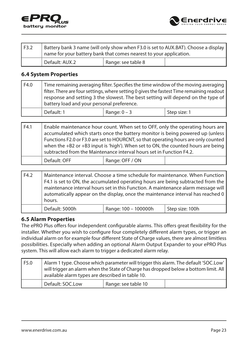<span id="page-22-0"></span>



| F3.2 | Battery bank 3 name (will only show when F3.0 is set to AUX.BAT). Choose a display<br>name for your battery bank that comes nearest to your application. |                    |  |
|------|----------------------------------------------------------------------------------------------------------------------------------------------------------|--------------------|--|
|      | <sup>1</sup> Default: AUX.2                                                                                                                              | Range: see table 8 |  |

#### **6.4 System Properties**

| l F4.0 | battery load and your personal preference. | Time remaining averaging filter. Specifies the time window of the moving averaging<br>filter. There are four settings, where setting 0 gives the fastest Time remaining readout<br>response and setting 3 the slowest. The best setting will depend on the type of |              |
|--------|--------------------------------------------|--------------------------------------------------------------------------------------------------------------------------------------------------------------------------------------------------------------------------------------------------------------------|--------------|
|        | Default: 1                                 | Range: $0 - 3$                                                                                                                                                                                                                                                     | Step size: 1 |

| F4.1 |              | Enable maintenance hour count. When set to OFF, only the operating hours are<br>accumulated which starts once the battery monitor is being powered up (unless<br>Functions F2.0 or F3.0 are set to HOURCNT, so that operating hours are only counted<br>when the $+B2$ or $+B3$ input is 'high'). When set to ON, the counted hours are being<br>subtracted from the Maintenance interval hours set in Function F4.2. |  |
|------|--------------|-----------------------------------------------------------------------------------------------------------------------------------------------------------------------------------------------------------------------------------------------------------------------------------------------------------------------------------------------------------------------------------------------------------------------|--|
|      | Default: OFF | Range: OFF / ON                                                                                                                                                                                                                                                                                                                                                                                                       |  |

| F4.2 | Maintenance interval. Choose a time schedule for maintenance. When Function<br>F4.1 is set to ON, the accumulated operating hours are being subtracted from the<br>maintenance interval hours set in this Function. A maintenance alarm message will<br>automatically appear on the display, once the maintenance interval has reached 0<br>hours. |                      |                 |  |
|------|----------------------------------------------------------------------------------------------------------------------------------------------------------------------------------------------------------------------------------------------------------------------------------------------------------------------------------------------------|----------------------|-----------------|--|
|      | Default: 5000h                                                                                                                                                                                                                                                                                                                                     | Range: 100 - 100000h | Step size: 100h |  |

#### **6.5 Alarm Properties**

The ePRO Plus offers four independent configurable alarms. This offers great flexibility for the installer. Whether you wish to configure four completely different alarm types, or trigger an individual alarm on for example four different State of Charge values, there are almost limitless possibilities. Especially when adding an optional Alarm Output Expander to your ePRO Plus system. This will allow each alarm to trigger a dedicated alarm relay.

| F5.0 | available alarm types are described in table 10. | Alarm 1 type. Choose which parameter will trigger this alarm. The default 'SOC.Low' | will trigger an alarm when the State of Charge has dropped below a bottom limit. All |
|------|--------------------------------------------------|-------------------------------------------------------------------------------------|--------------------------------------------------------------------------------------|
|      | Default: SOC.Low                                 | Range: see table 10                                                                 |                                                                                      |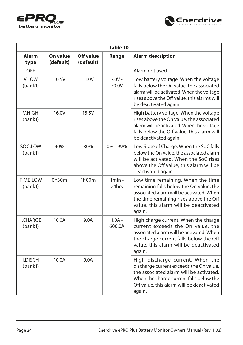



| Table 10                   |                       |                        |                          |                                                                                                                                                                                                                          |  |
|----------------------------|-----------------------|------------------------|--------------------------|--------------------------------------------------------------------------------------------------------------------------------------------------------------------------------------------------------------------------|--|
| Alarm<br>type              | On value<br>(default) | Off value<br>(default) | Range                    | <b>Alarm description</b>                                                                                                                                                                                                 |  |
| OFF                        |                       |                        | $\overline{\phantom{0}}$ | Alarm not used                                                                                                                                                                                                           |  |
| V.LOW<br>(bank1)           | 10.5V                 | 11.0V                  | $7.0V -$<br>70.0V        | Low battery voltage. When the voltage<br>falls below the On value, the associated<br>alarm will be activated. When the voltage<br>rises above the Off value, this alarms will<br>be deactivated again.                   |  |
| <b>V.HIGH</b><br>(bank1)   | 16.0V                 | 15.5V                  |                          | High battery voltage. When the voltage<br>rises above the On value, the associated<br>alarm will be activated. When the voltage<br>falls below the Off value, this alarm will<br>be deactivated again.                   |  |
| SOC.LOW<br>(bank1)         | 40%                   | 80%                    | $0\% - 99\%$             | Low State of Charge. When the SoC falls<br>below the On value, the associated alarm<br>will be activated. When the SoC rises<br>above the Off value, this alarm will be<br>deactivated again.                            |  |
| <b>TIME.LOW</b><br>(bank1) | 0h30m                 | 1h00m                  | $1min -$<br>24hrs        | Low time remaining. When the time<br>remaining falls below the On value, the<br>associated alarm will be activated. When<br>the time remaining rises above the Off<br>value, this alarm will be deactivated<br>again.    |  |
| <b>I.CHARGE</b><br>(bank1) | 10.0A                 | 9.0A                   | $1.0A -$<br>600.0A       | High charge current. When the charge<br>current exceeds the On value, the<br>associated alarm will be activated. When<br>the charge current falls below the Off<br>value, this alarm will be deactivated<br>again.       |  |
| <b>I.DISCH</b><br>(bank1)  | 10.0A                 | 9.0A                   |                          | High discharge current. When the<br>discharge current exceeds the On value,<br>the associated alarm will be activated.<br>When the charge current falls below the<br>Off value, this alarm will be deactivated<br>again. |  |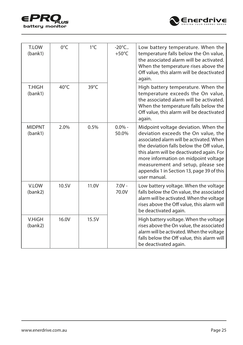



| T.LOW<br>(bank1)         | $0^{\circ}$ C  | $1^{\circ}$ C  | $-20^{\circ}$ C<br>$+50^{\circ}$ C | Low battery temperature. When the<br>temperature falls below the On value,<br>the associated alarm will be activated.<br>When the temperature rises above the<br>Off value, this alarm will be deactivated<br>again.                                                                                                                                       |
|--------------------------|----------------|----------------|------------------------------------|------------------------------------------------------------------------------------------------------------------------------------------------------------------------------------------------------------------------------------------------------------------------------------------------------------------------------------------------------------|
| <b>T.HIGH</b><br>(bank1) | $40^{\circ}$ C | $39^{\circ}$ C |                                    | High battery temperature. When the<br>temperature exceeds the On value,<br>the associated alarm will be activated.<br>When the temperature falls below the<br>Off value, this alarm will be deactivated<br>again.                                                                                                                                          |
| <b>MIDPNT</b><br>(bank1) | 2.0%           | 0.5%           | $0.0\%$ -<br>50.0%                 | Midpoint voltage deviation. When the<br>deviation exceeds the On value, the<br>associated alarm will be activated. When<br>the deviation falls below the Off value,<br>this alarm will be deactivated again. For<br>more information on midpoint voltage<br>measurement and setup, please see<br>appendix 1 in Section 13, page 39 of this<br>user manual. |
| V.LOW<br>(bank2)         | 10.5V          | 11.0V          | $7.0V -$<br>70.0V                  | Low battery voltage. When the voltage<br>falls below the On value, the associated<br>alarm will be activated. When the voltage<br>rises above the Off value, this alarm will<br>be deactivated again.                                                                                                                                                      |
| V.HiGH<br>(bank2)        | 16.0V          | 15.5V          |                                    | High battery voltage. When the voltage<br>rises above the On value, the associated<br>alarm will be activated. When the voltage<br>falls below the Off value, this alarm will<br>be deactivated again.                                                                                                                                                     |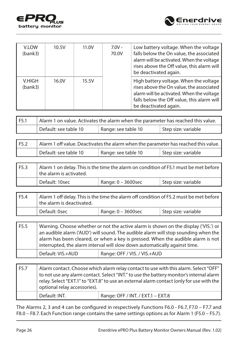



| <b>V.LOW</b><br>(bank3) | 10.5V | 11.0V | $7.0V -$<br>70.0V | Low battery voltage. When the voltage<br>falls below the On value, the associated<br>alarm will be activated. When the voltage<br>rises above the Off value, this alarm will<br>be deactivated again.  |
|-------------------------|-------|-------|-------------------|--------------------------------------------------------------------------------------------------------------------------------------------------------------------------------------------------------|
| V.HIGH<br>(bank3)       | 16.0V | 15.5V |                   | High battery voltage. When the voltage<br>rises above the On value, the associated<br>alarm will be activated. When the voltage<br>falls below the Off value, this alarm will<br>be deactivated again. |

| F5.1 | Alarm 1 on value. Activates the alarm when the parameter has reached this value. |                     |                     |
|------|----------------------------------------------------------------------------------|---------------------|---------------------|
|      | Default: see table 10                                                            | Range: see table 10 | Step size: variable |

| F5.2 | Alarm 1 off value. Deactivates the alarm when the parameter has reached this value. |                     |                     |
|------|-------------------------------------------------------------------------------------|---------------------|---------------------|
|      | Default: see table 10                                                               | Range: see table 10 | Step size: variable |

| F5.3 | $\mid$ Alarm 1 on delay. This is the time the alarm on condition of F5.1 must be met before<br><sup>1</sup> the alarm is activated. |                       |                     |
|------|-------------------------------------------------------------------------------------------------------------------------------------|-----------------------|---------------------|
|      | Default: 10sec                                                                                                                      | Range: $0 - 3600$ sec | Step size: variable |

| l F5.4 | Alarm 1 off delay. This is the time the alarm off condition of F5.2 must be met before<br>the alarm is deactivated. |                       |                                  |
|--------|---------------------------------------------------------------------------------------------------------------------|-----------------------|----------------------------------|
|        | Default: 0sec                                                                                                       | Range: $0 - 3600$ sec | <sup>1</sup> Step size: variable |

| F5.5 |                   | Warning. Choose whether or not the active alarm is shown on the display ('VIS.') or<br>an audible alarm ('AUD') will sound. The audible alarm will stop sounding when the<br>alarm has been cleared, or when a key is pressed. When the audible alarm is not<br>interrupted, the alarm interval will slow down automatically against time. |
|------|-------------------|--------------------------------------------------------------------------------------------------------------------------------------------------------------------------------------------------------------------------------------------------------------------------------------------------------------------------------------------|
|      | Default: VIS.+AUD | Range: OFF / VIS. / VIS.+AUD                                                                                                                                                                                                                                                                                                               |

| F <sub>5.7</sub> | optional relay accessories). | Alarm contact. Choose which alarm relay contact to use with this alarm. Select "OFF"<br>to not use any alarm contact. Select "INT." to use the battery monitor's internal alarm<br>relay. Select "EXT.1" to "EXT.8" to use an external alarm contact (only for use with the |
|------------------|------------------------------|-----------------------------------------------------------------------------------------------------------------------------------------------------------------------------------------------------------------------------------------------------------------------------|
|                  | Default: INT.                | Range: OFF / INT. / EXT.1 - EXT.8                                                                                                                                                                                                                                           |

The Alarms 2, 3 and 4 can be configured in respectively Functions F6.0 - F6.7, F7.0 – F7.7 and F8.0 – F8.7. Each Function range contains the same settings options as for Alarm 1 (F5.0 – F5.7).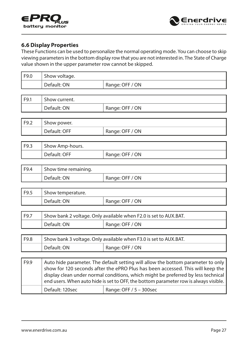<span id="page-26-0"></span>



#### **6.6 Display Properties**

These Functions can be used to personalize the normal operating mode. You can choose to skip viewing parameters in the bottom display row that you are not interested in. The State of Charge value shown in the upper parameter row cannot be skipped.

| F9.0 | Show voltage. |                 |
|------|---------------|-----------------|
|      | Default: ON   | Range: OFF / ON |
|      |               |                 |
| F9.1 | Show current. |                 |
|      | Default: ON   | Range: OFF / ON |
|      |               |                 |
| F9.2 | Show power.   |                 |
|      | Default: OFF  | Range: OFF / ON |
|      |               |                 |

| l F9.3 | Show Amp-hours. |                 |
|--------|-----------------|-----------------|
|        | Default: OFF    | Range: OFF / ON |

| F9.4 | Show time remaining. |                 |
|------|----------------------|-----------------|
|      | Default: ON          | Range: OFF / ON |

| 1 F9.5 | Show temperature. |                 |
|--------|-------------------|-----------------|
|        | Default: ON       | Range: OFF / ON |

| F9.7 |             | Show bank 2 voltage. Only available when F2.0 is set to AUX.BAT. |
|------|-------------|------------------------------------------------------------------|
|      | Default: ON | Range: OFF / ON                                                  |

| F9.8 | Show bank 3 voltage. Only available when F3.0 is set to AUX.BAT. |                 |
|------|------------------------------------------------------------------|-----------------|
|      | Default: ON                                                      | Range: OFF / ON |

| F9.9 |                 | Auto hide parameter. The default setting will allow the bottom parameter to only<br>show for 120 seconds after the ePRO Plus has been accessed. This will keep the<br>display clean under normal conditions, which might be preferred by less technical<br>end users. When auto hide is set to OFF, the bottom parameter row is always visible. |
|------|-----------------|-------------------------------------------------------------------------------------------------------------------------------------------------------------------------------------------------------------------------------------------------------------------------------------------------------------------------------------------------|
|      | Default: 120sec | Range: OFF $/ 5 - 300$ sec                                                                                                                                                                                                                                                                                                                      |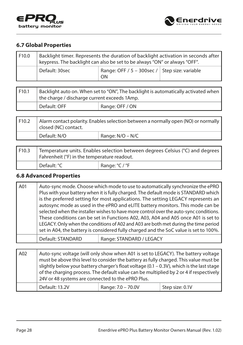<span id="page-27-0"></span>



#### **6.7 Global Properties**

| F10.0 | Backlight timer. Represents the duration of backlight activation in seconds after<br>keypress. The backlight can also be set to be always "ON" or always "OFF". |                                                     |  |
|-------|-----------------------------------------------------------------------------------------------------------------------------------------------------------------|-----------------------------------------------------|--|
|       | Default: 30sec                                                                                                                                                  | Range: OFF / 5 - 300sec / Step size: variable<br>ON |  |

| F <sub>10.1</sub> | Backlight auto on. When set to "ON", The backlight is automatically activated when<br>the charge / discharge current exceeds 1Amp. |                 |  |
|-------------------|------------------------------------------------------------------------------------------------------------------------------------|-----------------|--|
|                   | Default: OFF                                                                                                                       | Range: OFF / ON |  |

| F10.2 | Alarm contact polarity. Enables selection between a normally open (NO) or normally  <br>closed (NC) contact. |                  |  |
|-------|--------------------------------------------------------------------------------------------------------------|------------------|--|
|       | Default: N/O                                                                                                 | Range: N/O – N/C |  |

| F10.3 |             | Temperature units. Enables selection between degrees Celsius (°C) and degrees  <br>Fahrenheit (°F) in the temperature readout. |  |
|-------|-------------|--------------------------------------------------------------------------------------------------------------------------------|--|
|       | Default: °C | Range: $°C$ / $°F$                                                                                                             |  |

#### **6.8 Advanced Properties**

| A01 |                   | Auto-sync mode. Choose which mode to use to automatically synchronize the ePRO<br>Plus with your battery when it is fully charged. The default mode is STANDARD which<br>is the preferred setting for most applications. The setting LEGACY represents an<br>autosync mode as used in the ePRO and eLITE battery monitors. This mode can be |
|-----|-------------------|---------------------------------------------------------------------------------------------------------------------------------------------------------------------------------------------------------------------------------------------------------------------------------------------------------------------------------------------|
|     |                   | selected when the installer wishes to have more control over the auto-sync conditions.<br>These conditions can be set in Functions A02, A03, A04 and A05 once A01 is set to<br>LEGACY. Only when the conditions of A02 and A03 are both met during the time period                                                                          |
|     |                   | set in A04, the battery is considered fully charged and the SoC value is set to 100%.                                                                                                                                                                                                                                                       |
|     | Default: STANDARD | Range: STANDARD / LEGACY                                                                                                                                                                                                                                                                                                                    |

| A02 | Auto-sync voltage (will only show when A01 is set to LEGACY). The battery voltage<br>must be above this level to consider the battery as fully charged. This value must be<br>slightly below your battery charger's float voltage $(0.1 - 0.3V)$ , which is the last stage<br>of the charging process. The default value can be multiplied by 2 or 4 if respectively<br>24V or 48 systems are connected to the ePRO Plus. |                    |                 |  |
|-----|---------------------------------------------------------------------------------------------------------------------------------------------------------------------------------------------------------------------------------------------------------------------------------------------------------------------------------------------------------------------------------------------------------------------------|--------------------|-----------------|--|
|     | Default: 13.2V                                                                                                                                                                                                                                                                                                                                                                                                            | Range: 7.0 - 70.0V | Step size: 0.1V |  |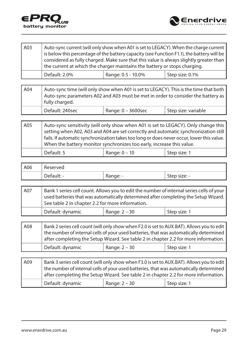



| A03 |               | Auto-sync current (will only show when A01 is set to LEGACY). When the charge current<br>is below this percentage of the battery capacity (see Function F1.1), the battery will be<br>considered as fully charged. Make sure that this value is always slightly greater than<br>the current at which the charger maintains the battery or stops charging. |                 |
|-----|---------------|-----------------------------------------------------------------------------------------------------------------------------------------------------------------------------------------------------------------------------------------------------------------------------------------------------------------------------------------------------------|-----------------|
|     | Default: 2.0% | Range: 0.5 - 10.0%                                                                                                                                                                                                                                                                                                                                        | Step size: 0.1% |

| A04 | Auto-sync time (will only show when A01 is set to LEGACY). This is the time that both<br>Auto-sync parameters A02 and A03 must be met in order to consider the battery as<br>fully charged. |  |  |  |  |
|-----|---------------------------------------------------------------------------------------------------------------------------------------------------------------------------------------------|--|--|--|--|
|     | Default: 240sec<br>Step size: variable<br>Range: $0 - 3600$ sec                                                                                                                             |  |  |  |  |

| A05 | Auto-sync sensitivity (will only show when A01 is set to LEGACY). Only change this<br>setting when A02, A03 and A04 are set correctly and automatic synchronization still<br>  fails. If automatic synchronization takes too long or does never occur, lower this value.  <br>When the battery monitor synchronizes too early, increase this value. |                 |              |  |
|-----|-----------------------------------------------------------------------------------------------------------------------------------------------------------------------------------------------------------------------------------------------------------------------------------------------------------------------------------------------------|-----------------|--------------|--|
|     | Default: 5                                                                                                                                                                                                                                                                                                                                          | Range: $0 - 10$ | Step size: 1 |  |

| A06 | Reserved   |          |              |
|-----|------------|----------|--------------|
|     | Default: - | - :Range | Step size: - |

| A07 | See table 2 in chapter 2.2 for more information. |                 | Bank 1 series cell count. Allows you to edit the number of internal series cells of your<br>used batteries that was automatically determined after completing the Setup Wizard. |  |  |  |  |
|-----|--------------------------------------------------|-----------------|---------------------------------------------------------------------------------------------------------------------------------------------------------------------------------|--|--|--|--|
|     | Default: dynamic                                 | Range: $2 - 30$ | Step size: 1                                                                                                                                                                    |  |  |  |  |

| A08 |                               | the number of internal cells of your used batteries, that was automatically determined | Bank 2 series cell count (will only show when F2.0 is set to AUX.BAT). Allows you to edit<br>after completing the Setup Wizard. See table 2 in chapter 2.2 for more information. |
|-----|-------------------------------|----------------------------------------------------------------------------------------|----------------------------------------------------------------------------------------------------------------------------------------------------------------------------------|
|     | <sup>'</sup> Default: dynamic | Step size: 1                                                                           |                                                                                                                                                                                  |

| <b>A09</b> |                  | Bank 3 series cell count (will only show when F3.0 is set to AUX.BAT). Allows you to edit<br>the number of internal cells of your used batteries, that was automatically determined<br>after completing the Setup Wizard. See table 2 in chapter 2.2 for more information. |              |
|------------|------------------|----------------------------------------------------------------------------------------------------------------------------------------------------------------------------------------------------------------------------------------------------------------------------|--------------|
|            | Default: dynamic | Range: $2 - 30$                                                                                                                                                                                                                                                            | Step size: 1 |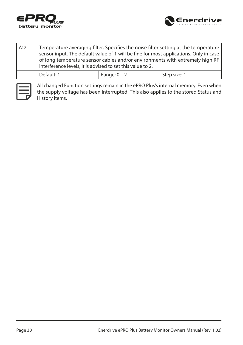



| A12 | Temperature averaging filter. Specifies the noise filter setting at the temperature<br>sensor input. The default value of 1 will be fine for most applications. Only in case<br>of long temperature sensor cables and/or environments with extremely high RF<br>interference levels, it is advised to set this value to 2. |                |              |  |  |  |  |  |  |  |  |
|-----|----------------------------------------------------------------------------------------------------------------------------------------------------------------------------------------------------------------------------------------------------------------------------------------------------------------------------|----------------|--------------|--|--|--|--|--|--|--|--|
|     | Default: 1                                                                                                                                                                                                                                                                                                                 | Range: $0 - 2$ | Step size: 1 |  |  |  |  |  |  |  |  |



All changed Function settings remain in the ePRO Plus's internal memory. Even when the supply voltage has been interrupted. This also applies to the stored Status and History items.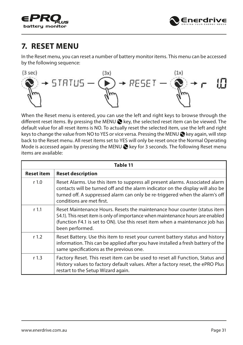<span id="page-30-0"></span>



## **7. RESET MENU**

In the Reset menu, you can reset a number of battery monitor items. This menu can be accessed by the following sequence:



When the Reset menu is entered, you can use the left and right keys to browse through the different reset items. By pressing the MENU  $\bigotimes$  key, the selected reset item can be viewed. The default value for all reset items is NO. To actually reset the selected item, use the left and right keys to change the value from NO to YES or vice versa. Pressing the MENU  $\otimes$  key again, will step back to the Reset menu. All reset items set to YES will only be reset once the Normal Operating Mode is accessed again by pressing the MENU  $\bigotimes$  key for 3 seconds. The following Reset menu items are available:

|                   | Table 11                                                                                                                                                                                                                                                                     |  |  |  |  |  |  |  |  |
|-------------------|------------------------------------------------------------------------------------------------------------------------------------------------------------------------------------------------------------------------------------------------------------------------------|--|--|--|--|--|--|--|--|
| <b>Reset item</b> | <b>Reset description</b>                                                                                                                                                                                                                                                     |  |  |  |  |  |  |  |  |
| r <sub>1.0</sub>  | Reset Alarms. Use this item to suppress all present alarms. Associated alarm<br>contacts will be turned off and the alarm indicator on the display will also be<br>turned off. A suppressed alarm can only be re-triggered when the alarm's off<br>conditions are met first. |  |  |  |  |  |  |  |  |
| r <sub>1.1</sub>  | Reset Maintenance Hours. Resets the maintenance hour counter (status item<br>S4.1). This reset item is only of importance when maintenance hours are enabled<br>(function F4.1 is set to ON). Use this reset item when a maintenance job has<br>been performed.              |  |  |  |  |  |  |  |  |
| r <sub>1.2</sub>  | Reset Battery. Use this item to reset your current battery status and history<br>information. This can be applied after you have installed a fresh battery of the<br>same specifications as the previous one.                                                                |  |  |  |  |  |  |  |  |
| r <sub>1.3</sub>  | Factory Reset. This reset item can be used to reset all Function, Status and<br>History values to factory default values. After a factory reset, the ePRO Plus<br>restart to the Setup Wizard again.                                                                         |  |  |  |  |  |  |  |  |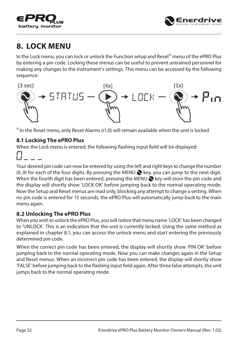<span id="page-31-0"></span>



## **8. LOCK MENU**

In the Lock menu, you can lock or unlock the Function setup and Reset $<sup>1</sup>$  menu of the ePRO Plus</sup> by entering a pin code. Locking these menus can be useful to prevent untrained personnel for making any changes to the instrument's settings. This menu can be accessed by the following sequence:



 $<sup>1</sup>$  In the Reset menu, only Reset Alarms (r1.0) will remain available when the unit is locked</sup>

#### **8.1 Locking The ePRO Plus**

When the Lock menu is entered, the following flashing input field will be displayed:



Your desired pin code can now be entered by using the left and right keys to change the number  $(0.9)$  for each of the four digits. By pressing the MENU  $\otimes$  key, you can jump to the next digit. When the fourth digit has been entered, pressing the MENU  $\bigcirc$  key will store the pin code and the display will shortly show 'LOCK OK' before jumping back to the normal operating mode. Now the Setup and Reset menus are read only, blocking any attempt to change a setting. When no pin code is entered for 15 seconds, the ePRO Plus will automatically jump back to the main menu again.

#### **8.2 Unlocking The ePRO Plus**

When you wish to unlock the ePRO Plus, you will notice that menu name 'LOCK' has been changed to 'UNLOCK'. This is an indication that the unit is currently locked. Using the same method as explained in chapter 8.1, you can access the unlock menu and start entering the previously determined pin code.

When the correct pin code has been entered, the display will shortly show 'PIN OK' before jumping back to the normal operating mode. Now you can make changes again in the Setup and Reset menus. When an incorrect pin code has been entered, the display will shortly show 'FALSE' before jumping back to the flashing input field again. After three false attempts, the unit jumps back to the normal operating mode.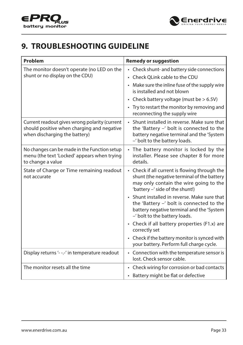<span id="page-32-0"></span>



## **9. TROUBLESHOOTING GUIDELINE**

| Problem                                                                                                                      | <b>Remedy or suggestion</b>                                                                                                                                               |
|------------------------------------------------------------------------------------------------------------------------------|---------------------------------------------------------------------------------------------------------------------------------------------------------------------------|
| The monitor doesn't operate (no LED on the                                                                                   | • Check shunt- and battery side connections                                                                                                                               |
| shunt or no display on the CDU)                                                                                              | • Check OLink cable to the CDU                                                                                                                                            |
|                                                                                                                              | • Make sure the inline fuse of the supply wire<br>is installed and not blown                                                                                              |
|                                                                                                                              | • Check battery voltage (must be $> 6.5V$ )                                                                                                                               |
|                                                                                                                              | • Try to restart the monitor by removing and<br>reconnecting the supply wire                                                                                              |
| Current readout gives wrong polarity (current<br>should positive when charging and negative<br>when discharging the battery) | • Shunt installed in reverse. Make sure that<br>the 'Battery -' bolt is connected to the<br>battery negative terminal and the 'System<br>-' bolt to the battery loads.    |
| No changes can be made in the Function setup<br>menu (the text 'Locked' appears when trying<br>to change a value             | • The battery monitor is locked by the<br>installer. Please see chapter 8 for more<br>details.                                                                            |
| State of Charge or Time remaining readout<br>not accurate                                                                    | • Check if all current is flowing through the<br>shunt (the negative terminal of the battery<br>may only contain the wire going to the<br>'battery -' side of the shunt!) |
|                                                                                                                              | • Shunt installed in reverse. Make sure that<br>the 'Battery -' bolt is connected to the<br>battery negative terminal and the 'System<br>-' bolt to the battery loads.    |
|                                                                                                                              | • Check if all battery properties (F1.x) are<br>correctly set                                                                                                             |
|                                                                                                                              | • Check if the battery monitor is synced with<br>your battery. Perform full charge cycle.                                                                                 |
| Display returns '---' in temperature readout                                                                                 | • Connection with the temperature sensor is<br>lost. Check sensor cable.                                                                                                  |
| The monitor resets all the time                                                                                              | • Check wiring for corrosion or bad contacts                                                                                                                              |
|                                                                                                                              | • Battery might be flat or defective                                                                                                                                      |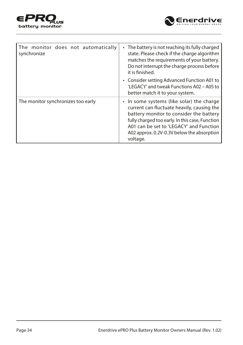



| The monitor does not automatically<br>synchronize | The battery is not reaching its fully charged<br>$\bullet$<br>state. Please check if the charge algorithm<br>matches the requirements of your battery.<br>Do not interrupt the charge process before<br>it is finished.<br>• Consider setting Advanced Function A01 to<br>'LEGACY' and tweak Functions A02 - A05 to<br>better match it to your system. |
|---------------------------------------------------|--------------------------------------------------------------------------------------------------------------------------------------------------------------------------------------------------------------------------------------------------------------------------------------------------------------------------------------------------------|
| The monitor synchronizes too early                | • In some systems (like solar) the charge<br>current can fluctuate heavily, causing the<br>battery monitor to consider the battery<br>fully charged too early. In this case, Function<br>A01 can be set to 'LEGACY' and Function<br>A02 approx, 0.2V-0.3V below the absorption<br>voltage.                                                             |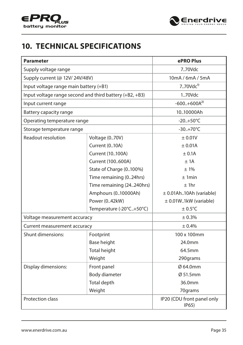<span id="page-34-0"></span>



## **10. TECHNICAL SPECIFICATIONS**

| <b>Parameter</b>                                        | ePRO Plus                                 |                    |  |  |  |  |  |  |
|---------------------------------------------------------|-------------------------------------------|--------------------|--|--|--|--|--|--|
| Supply voltage range                                    |                                           | 7.70Vdc            |  |  |  |  |  |  |
| Supply current (@ 12V/ 24V/48V)                         |                                           | 10mA / 6mA / 5mA   |  |  |  |  |  |  |
| Input voltage range main battery (+B1)                  | 770 $Vdc1$                                |                    |  |  |  |  |  |  |
| Input voltage range second and third battery (+B2, +B3) |                                           | 1.70Vdc            |  |  |  |  |  |  |
| Input current range                                     |                                           | $-600.+600A^{2}$   |  |  |  |  |  |  |
| Battery capacity range                                  |                                           | 1010000Ah          |  |  |  |  |  |  |
| Operating temperature range                             |                                           | $-20.+50^{\circ}C$ |  |  |  |  |  |  |
| Storage temperature range                               |                                           | $-30.+70^{\circ}C$ |  |  |  |  |  |  |
| Readout resolution                                      | ± 0.01V                                   |                    |  |  |  |  |  |  |
|                                                         | <b>Current (010A)</b><br>Current (10100A) |                    |  |  |  |  |  |  |
|                                                         | ± 0.1A                                    |                    |  |  |  |  |  |  |
|                                                         | Current (100600A)                         | ±1A                |  |  |  |  |  |  |
|                                                         | State of Charge (0100%)                   | $+1\%$             |  |  |  |  |  |  |
|                                                         | Time remaining (024hrs)                   | ±1min              |  |  |  |  |  |  |
|                                                         | Time remaining (24240hrs)                 | $±$ 1hr            |  |  |  |  |  |  |
|                                                         | $\pm$ 0.01Ah10Ah (variable)               |                    |  |  |  |  |  |  |
|                                                         | $\pm$ 0.01W1kW (variable)                 |                    |  |  |  |  |  |  |
|                                                         | $\pm$ 0.5°C                               |                    |  |  |  |  |  |  |
| Voltage measurement accuracy                            |                                           | ± 0.3%             |  |  |  |  |  |  |
| Current measurement accuracy                            |                                           | ± 0.4%             |  |  |  |  |  |  |
| Shunt dimensions:                                       | Footprint                                 | 100 x 100mm        |  |  |  |  |  |  |
|                                                         | Base height                               | 24.0mm             |  |  |  |  |  |  |
|                                                         | Total height                              | 64.5mm             |  |  |  |  |  |  |
|                                                         | Weight                                    | 290grams           |  |  |  |  |  |  |
| Display dimensions:                                     | Front panel                               | Ø 64.0mm           |  |  |  |  |  |  |
|                                                         | Body diameter                             | Ø 51.5mm           |  |  |  |  |  |  |
|                                                         | 36.0mm                                    |                    |  |  |  |  |  |  |
|                                                         | Weight                                    | 70qrams            |  |  |  |  |  |  |
| Protection class                                        |                                           |                    |  |  |  |  |  |  |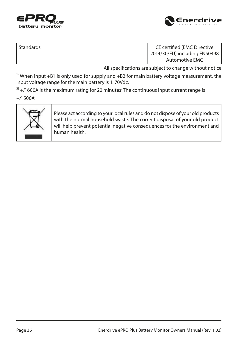



| Standards | CE certified (EMC Directive   |
|-----------|-------------------------------|
|           | 2014/30/EU) including EN50498 |
|           | Automotive EMC                |

All specifications are subject to change without notice

 $1)$  When input +B1 is only used for supply and +B2 for main battery voltage measurement, the input voltage range for the main battery is 1..70Vdc.

 $2^{2}$  +/ $\cdot$  600A is the maximum rating for 20 minutes. The continuous input current range is

 $+/-$  500A.



Please act according to your local rules and do not dispose of your old products with the normal household waste. The correct disposal of your old product will help prevent potential negative consequences for the environment and human health.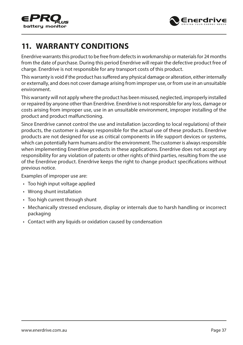<span id="page-36-0"></span>



## **11. WARRANTY CONDITIONS**

Enerdrive warrants this product to be free from defects in workmanship or materials for 24 months from the date of purchase. During this period Enerdrive will repair the defective product free of charge. Enerdrive is not responsible for any transport costs of this product.

This warranty is void if the product has suffered any physical damage or alteration, either internally or externally, and does not cover damage arising from improper use, or from use in an unsuitable environment.

This warranty will not apply where the product has been misused, neglected, improperly installed or repaired by anyone other than Enerdrive. Enerdrive is not responsible for any loss, damage or costs arising from improper use, use in an unsuitable environment, improper installing of the product and product malfunctioning.

Since Enerdrive cannot control the use and installation (according to local regulations) of their products, the customer is always responsible for the actual use of these products. Enerdrive products are not designed for use as critical components in life support devices or systems, which can potentially harm humans and/or the environment. The customer is always responsible when implementing Enerdrive products in these applications. Enerdrive does not accept any responsibility for any violation of patents or other rights of third parties, resulting from the use of the Enerdrive product. Enerdrive keeps the right to change product specifications without previous notice.

Examples of improper use are:

- Too high input voltage applied
- Wrong shunt installation
- Too high current through shunt
- Mechanically stressed enclosure, display or internals due to harsh handling or incorrect packaging
- Contact with any liquids or oxidation caused by condensation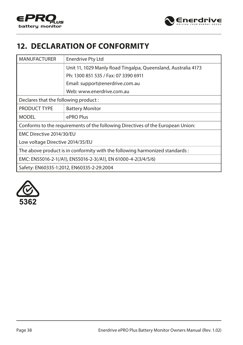<span id="page-37-0"></span>



## **12. DECLARATION OF CONFORMITY**

| <b>MANUFACTURER</b>                  | Enerdrive Pty Ltd                                                               |  |  |  |  |  |  |
|--------------------------------------|---------------------------------------------------------------------------------|--|--|--|--|--|--|
|                                      | Unit 11, 1029 Manly Road Tingalpa, Queensland, Australia 4173                   |  |  |  |  |  |  |
|                                      | Ph: 1300 851 535 / Fax: 07 3390 6911                                            |  |  |  |  |  |  |
| Email: support@enerdrive.com.au      |                                                                                 |  |  |  |  |  |  |
| Web: www.enerdrive.com.au            |                                                                                 |  |  |  |  |  |  |
| Declares that the following product: |                                                                                 |  |  |  |  |  |  |
| PRODUCT TYPE                         | <b>Battery Monitor</b>                                                          |  |  |  |  |  |  |
| <b>MODEL</b>                         | ePRO Plus                                                                       |  |  |  |  |  |  |
|                                      | Conforms to the requirements of the following Directives of the European Union: |  |  |  |  |  |  |
| EMC Directive 2014/30/EU             |                                                                                 |  |  |  |  |  |  |
| Low voltage Directive 2014/35/EU     |                                                                                 |  |  |  |  |  |  |
|                                      | The above product is in conformity with the following harmonized standards:     |  |  |  |  |  |  |
|                                      | EMC: EN55016-2-1(/A1), EN55016-2-3(/A1), EN 61000-4-2(3/4/5/6)                  |  |  |  |  |  |  |
|                                      | Safety: EN60335-1:2012, EN60335-2-29:2004                                       |  |  |  |  |  |  |
|                                      |                                                                                 |  |  |  |  |  |  |

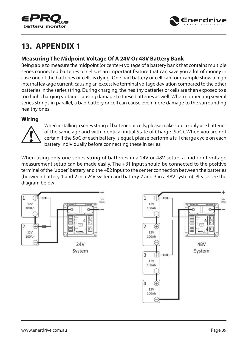<span id="page-38-0"></span>



## **13. APPENDIX 1**

#### **Measuring The Midpoint Voltage Of A 24V Or 48V Battery Bank**

Being able to measure the midpoint (or center-) voltage of a battery bank that contains multiple series connected batteries or cells, is an important feature that can save you a lot of money in case one of the batteries or cells is dying. One bad battery or cell can for example show a high internal leakage current, causing an excessive terminal voltage deviation compared to the other batteries in the series string. During charging, the healthy batteries or cells are then exposed to a too high charging voltage, causing damage to these batteries as well. When connecting several series strings in parallel, a bad battery or cell can cause even more damage to the surrounding healthy ones.

#### **Wiring**



When installing a series string of batteries or cells, please make sure to only use batteries of the same age and with identical initial State of Charge (SoC). When you are not certain if the SoC of each battery is equal, please perform a full charge cycle on each battery individually before connecting these in series.

When using only one series string of batteries in a 24V or 48V setup, a midpoint voltage measurement setup can be made easily. The +B1 input should be connected to the positive terminal of the 'upper' battery and the +B2 input to the center connection between the batteries (between battery 1 and 2 in a 24V system and battery 2 and 3 in a 48V system). Please see the diagram below:

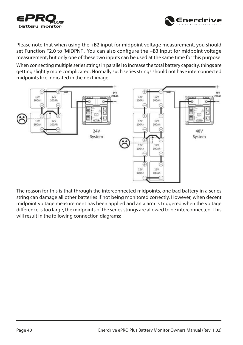



Enerdrive

When connecting multiple series strings in parallel to increase the total battery capacity, things are getting slightly more complicated. Normally such series strings should not have interconnected midpoints like indicated in the next image:



The reason for this is that through the interconnected midpoints, one bad battery in a series string can damage all other batteries if not being monitored correctly. However, when decent midpoint voltage measurement has been applied and an alarm is triggered when the voltage difference is too large, the midpoints of the series strings are allowed to be interconnected. This will result in the following connection diagrams: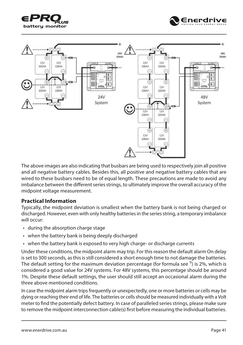<span id="page-40-0"></span>





The above images are also indicating that busbars are being used to respectively join all positive and all negative battery cables. Besides this, all positive and negative battery cables that are wired to these busbars need to be of equal length. These precautions are made to avoid any imbalance between the different series strings, to ultimately improve the overall accuracy of the midpoint voltage measurement.

#### **Practical Information**

Typically, the midpoint deviation is smallest when the battery bank is not being charged or discharged. However, even with only healthy batteries in the series string, a temporary imbalance will occur:

- during the absorption charge stage
- when the battery bank is being deeply discharged
- when the battery bank is exposed to very high charge- or discharge currents

Under these conditions, the midpoint alarm may trip. For this reason the default alarm On delay is set to 300 seconds, as this is still considered a short enough time to not damage the batteries. The default setting for the maximum deviation percentage (for formula see  $\frac{1}{1}$ ) is 2%, which is considered a good value for 24V systems. For 48V systems, this percentage should be around 1%. Despite these default settings, the user should still accept an occasional alarm during the three above mentioned conditions.

In case the midpoint alarm trips frequently or unexpectedly, one or more batteries or cells may be dying or reaching their end of life. The batteries or cells should be measured individually with a Volt meter to find the potentially defect battery. In case of paralleled series strings, please make sure to remove the midpoint interconnection cable(s) first before measuring the individual batteries.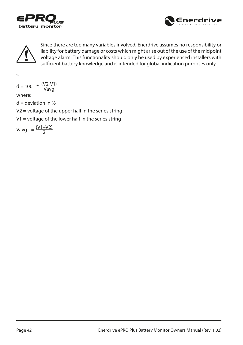





Since there are too many variables involved, Enerdrive assumes no responsibility or liability for battery damage or costs which might arise out of the use of the midpoint voltage alarm. This functionality should only be used by experienced installers with sufficient battery knowledge and is intended for global indication purposes only.

1)

$$
d = 100 \times \frac{(V2-V1)}{Vavg}
$$

where:

 $d =$  deviation in %

 $V2$  = voltage of the upper half in the series string

 $V1$  = voltage of the lower half in the series string

$$
Vavg = \frac{(V1+V2)}{2}
$$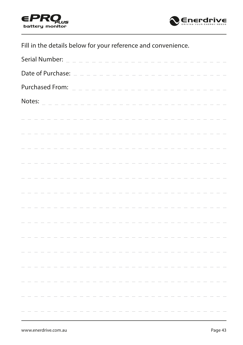



Fill in the details below for your reference and convenience.

| Serial Number:                            |  |  |  |  |                                                         |  |  |               |  |  |  | the control of the control of |  |  |  |                   |  |  |  |  |  |
|-------------------------------------------|--|--|--|--|---------------------------------------------------------|--|--|---------------|--|--|--|-------------------------------|--|--|--|-------------------|--|--|--|--|--|
| Date of Purchase: $=$ $=$ $=$ $=$ $=$ $=$ |  |  |  |  |                                                         |  |  |               |  |  |  |                               |  |  |  |                   |  |  |  |  |  |
| Purchased From: _                         |  |  |  |  |                                                         |  |  | $\frac{1}{2}$ |  |  |  |                               |  |  |  |                   |  |  |  |  |  |
| Notes:                                    |  |  |  |  | $\mathcal{L} = \mathcal{L} = \mathcal{L} = \mathcal{L}$ |  |  |               |  |  |  |                               |  |  |  |                   |  |  |  |  |  |
|                                           |  |  |  |  |                                                         |  |  |               |  |  |  |                               |  |  |  |                   |  |  |  |  |  |
|                                           |  |  |  |  |                                                         |  |  |               |  |  |  |                               |  |  |  |                   |  |  |  |  |  |
|                                           |  |  |  |  |                                                         |  |  |               |  |  |  |                               |  |  |  |                   |  |  |  |  |  |
|                                           |  |  |  |  |                                                         |  |  |               |  |  |  |                               |  |  |  |                   |  |  |  |  |  |
|                                           |  |  |  |  |                                                         |  |  |               |  |  |  |                               |  |  |  |                   |  |  |  |  |  |
|                                           |  |  |  |  |                                                         |  |  |               |  |  |  |                               |  |  |  | $\equiv$ $\equiv$ |  |  |  |  |  |
|                                           |  |  |  |  |                                                         |  |  |               |  |  |  |                               |  |  |  |                   |  |  |  |  |  |
|                                           |  |  |  |  |                                                         |  |  |               |  |  |  |                               |  |  |  |                   |  |  |  |  |  |
|                                           |  |  |  |  |                                                         |  |  |               |  |  |  |                               |  |  |  |                   |  |  |  |  |  |
|                                           |  |  |  |  |                                                         |  |  |               |  |  |  |                               |  |  |  |                   |  |  |  |  |  |
|                                           |  |  |  |  |                                                         |  |  |               |  |  |  |                               |  |  |  |                   |  |  |  |  |  |
|                                           |  |  |  |  |                                                         |  |  |               |  |  |  |                               |  |  |  |                   |  |  |  |  |  |
|                                           |  |  |  |  |                                                         |  |  |               |  |  |  |                               |  |  |  |                   |  |  |  |  |  |
|                                           |  |  |  |  |                                                         |  |  |               |  |  |  |                               |  |  |  |                   |  |  |  |  |  |
|                                           |  |  |  |  |                                                         |  |  |               |  |  |  |                               |  |  |  |                   |  |  |  |  |  |
|                                           |  |  |  |  |                                                         |  |  |               |  |  |  |                               |  |  |  |                   |  |  |  |  |  |